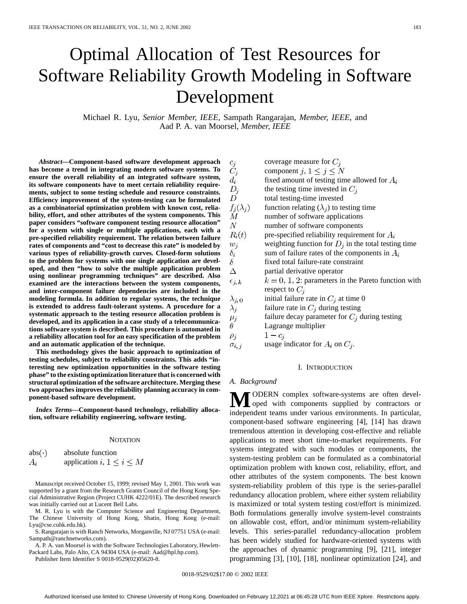# Optimal Allocation of Test Resources for Software Reliability Growth Modeling in Software Development

Michael R. Lyu*, Senior Member, IEEE*, Sampath Rangarajan*, Member, IEEE*, and Aad P. A. van Moorsel*, Member, IEEE*

*Abstract—***Component-based software development approach has become a trend in integrating modern software systems. To ensure the overall reliability of an integrated software system, its software components have to meet certain reliability requirements, subject to some testing schedule and resource constraints. Efficiency improvement of the system-testing can be formulated as a combinatorial optimization problem with known cost, reliability, effort, and other attributes of the system components. This paper considers "software component testing resource allocation" for a system with single or multiple applications, each with a pre-specified reliability requirement. The relation between failure rates of components and "cost to decrease this rate" is modeled by various types of reliability-growth curves. Closed-form solutions to the problem for systems with one single application are developed, and then "how to solve the multiple application problem using nonlinear programming techniques" are described. Also examined are the interactions between the system components, and inter-component failure dependencies are included in the modeling formula. In addition to regular systems, the technique is extended to address fault-tolerant systems. A procedure for a systematic approach to the testing resource allocation problem is developed, and its application in a case study of a telecommunications software system is described. This procedure is automated in a reliability allocation tool for an easy specification of the problem and an automatic application of the technique.**

**This methodology gives the basic approach to optimization of testing schedules, subject to reliability constraints. This adds "interesting new optimization opportunities in the software testing phase" to the existing optimization literature that is concerned with structural optimization of the software architecture. Merging these two approaches improves the reliability planning accuracy in component-based software development.**

*Index Terms—***Component-based technology, reliability allocation, software reliability engineering, software testing.**

#### **NOTATION**

| $abs(\cdot)$ | absolute function                |  |  |  |  |
|--------------|----------------------------------|--|--|--|--|
| $A_i$        | application $i, 1 \leq i \leq M$ |  |  |  |  |

Manuscript received October 15, 1999; revised May 1, 2001. This work was supported by a grant from the Research Grants Council of the Hong Kong Special Administrative Region (Project CUHK 4222/01E). The described research was initially carried out at Lucent Bell Labs.

M. R. Lyu is with the Computer Science and Engineering Department, The Chinese University of Hong Kong, Shatin, Hong Kong (e-mail: Lyu@cse.cuhk.edu.hk).

S. Rangarajan is with Ranch Networks, Morganville, NJ 07751 USA (e-mail: Sampath@ranchnetworks.com).

A. P. A. van Moorsel is with the Software Technologies Laboratory, Hewlett-Packard Labs, Palo Alto, CA 94304 USA (e-mail: Aad@hpl.hp.com).

Publisher Item Identifier S 0018-9529(02)05620-8.

| $c_i$            | coverage measure for $C_i$                             |
|------------------|--------------------------------------------------------|
| $C_i$            | component j, $1 \le j \le N$                           |
| $d_i$            | fixed amount of testing time allowed for $A_i$         |
| $D_i$            | the testing time invested in $C_i$                     |
| D                | total testing-time invested                            |
| $f_i(\lambda_i)$ | function relating $(\lambda_i)$ to testing time        |
| М                | number of software applications                        |
| N                | number of software components                          |
| $R_i(t)$         | pre-specified reliability requirement for $A_i$        |
| $w_i$            | weighting function for $D_i$ in the total testing time |
| $\delta_i$       | sum of failure rates of the components in $A_i$        |
| δ                | fixed total failure-rate constraint                    |
| Δ                | partial derivative operator                            |
| $\epsilon_{j,k}$ | $k = 0, 1, 2$ : parameters in the Pareto function with |
|                  | respect to $C_i$                                       |
| $\lambda_{j,0}$  | initial failure rate in $C_j$ at time 0                |
| $\lambda_i$      | failure rate in $C_j$ during testing                   |
| $\mu_i$          | failure decay parameter for $C_i$ during testing       |
| θ                | Lagrange multiplier                                    |

 $1-c_i$ 

 $\rho_j$ 

usage indicator for  $A_i$  on  $C_j$ .  $\sigma_{i,\,j}$ 

## I. INTRODUCTION

# *A. Background*

**M**ODERN complex software-systems are often devel-<br>
independent terms on the unique applied by contractors or independent teams under various environments. In particular, component-based software engineering [4], [14] has drawn tremendous attention in developing cost-effective and reliable applications to meet short time-to-market requirements. For systems integrated with such modules or components, the system-testing problem can be formulated as a combinatorial optimization problem with known cost, reliability, effort, and other attributes of the system components. The best known system-reliability problem of this type is the series-parallel redundancy allocation problem, where either system reliability is maximized or total system testing cost/effort is minimized. Both formulations generally involve system-level constraints on allowable cost, effort, and/or minimum system-reliability levels. This series-parallel redundancy-allocation problem has been widely studied for hardware-oriented systems with the approaches of dynamic programming [9], [21], integer programming [3], [10], [18], nonlinear optimization [24], and

0018-9529/02\$17.00 © 2002 IEEE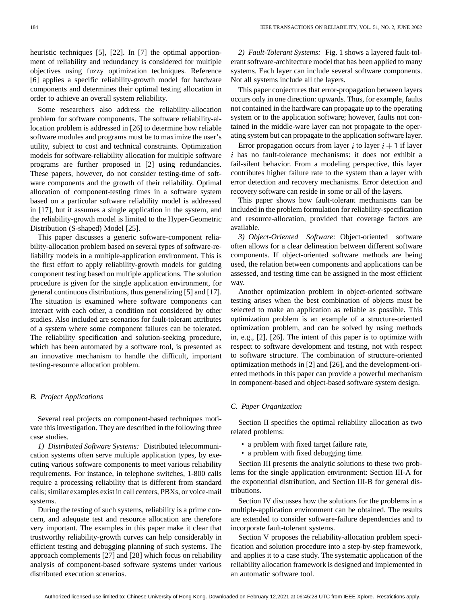heuristic techniques [5], [22]. In [7] the optimal apportionment of reliability and redundancy is considered for multiple objectives using fuzzy optimization techniques. Reference [6] applies a specific reliability-growth model for hardware components and determines their optimal testing allocation in order to achieve an overall system reliability.

Some researchers also address the reliability-allocation problem for software components. The software reliability-allocation problem is addressed in [26] to determine how reliable software modules and programs must be to maximize the user's utility, subject to cost and technical constraints. Optimization models for software-reliability allocation for multiple software programs are further proposed in [2] using redundancies. These papers, however, do not consider testing-time of software components and the growth of their reliability. Optimal allocation of component-testing times in a software system based on a particular software reliability model is addressed in [17], but it assumes a single application in the system, and the reliability-growth model is limited to the Hyper-Geometric Distribution (S-shaped) Model [25].

This paper discusses a generic software-component reliability-allocation problem based on several types of software-reliability models in a multiple-application environment. This is the first effort to apply reliability-growth models for guiding component testing based on multiple applications. The solution procedure is given for the single application environment, for general continuous distributions, thus generalizing [5] and [17]. The situation is examined where software components can interact with each other, a condition not considered by other studies. Also included are scenarios for fault-tolerant attributes of a system where some component failures can be tolerated. The reliability specification and solution-seeking procedure, which has been automated by a software tool, is presented as an innovative mechanism to handle the difficult, important testing-resource allocation problem.

## *B. Project Applications*

Several real projects on component-based techniques motivate this investigation. They are described in the following three case studies.

*1) Distributed Software Systems:* Distributed telecommunication systems often serve multiple application types, by executing various software components to meet various reliability requirements. For instance, in telephone switches, 1-800 calls require a processing reliability that is different from standard calls; similar examples exist in call centers, PBXs, or voice-mail systems.

During the testing of such systems, reliability is a prime concern, and adequate test and resource allocation are therefore very important. The examples in this paper make it clear that trustworthy reliability-growth curves can help considerably in efficient testing and debugging planning of such systems. The approach complements [27] and [28] which focus on reliability analysis of component-based software systems under various distributed execution scenarios.

*2) Fault-Tolerant Systems:* Fig. 1 shows a layered fault-tolerant software-architecture model that has been applied to many systems. Each layer can include several software components. Not all systems include all the layers.

This paper conjectures that error-propagation between layers occurs only in one direction: upwards. Thus, for example, faults not contained in the hardware can propagate up to the operating system or to the application software; however, faults not contained in the middle-ware layer can not propagate to the operating system but can propagate to the application software layer.

Error propagation occurs from layer i to layer  $i + 1$  if layer  $i$  has no fault-tolerance mechanisms: it does not exhibit a fail-silent behavior. From a modeling perspective, this layer contributes higher failure rate to the system than a layer with error detection and recovery mechanisms. Error detection and recovery software can reside in some or all of the layers.

This paper shows how fault-tolerant mechanisms can be included in the problem formulation for reliability-specification and resource-allocation, provided that coverage factors are available.

*3) Object-Oriented Software:* Object-oriented software often allows for a clear delineation between different software components. If object-oriented software methods are being used, the relation between components and applications can be assessed, and testing time can be assigned in the most efficient way.

Another optimization problem in object-oriented software testing arises when the best combination of objects must be selected to make an application as reliable as possible. This optimization problem is an example of a structure-oriented optimization problem, and can be solved by using methods in, e.g., [2], [26]. The intent of this paper is to optimize with respect to software development and testing, not with respect to software structure. The combination of structure-oriented optimization methods in [2] and [26], and the development-oriented methods in this paper can provide a powerful mechanism in component-based and object-based software system design.

# *C. Paper Organization*

Section II specifies the optimal reliability allocation as two related problems:

- a problem with fixed target failure rate,
- a problem with fixed debugging time.

Section III presents the analytic solutions to these two problems for the single application environment: Section III-A for the exponential distribution, and Section III-B for general distributions.

Section IV discusses how the solutions for the problems in a multiple-application environment can be obtained. The results are extended to consider software-failure dependencies and to incorporate fault-tolerant systems.

Section V proposes the reliability-allocation problem specification and solution procedure into a step-by-step framework, and applies it to a case study. The systematic application of the reliability allocation framework is designed and implemented in an automatic software tool.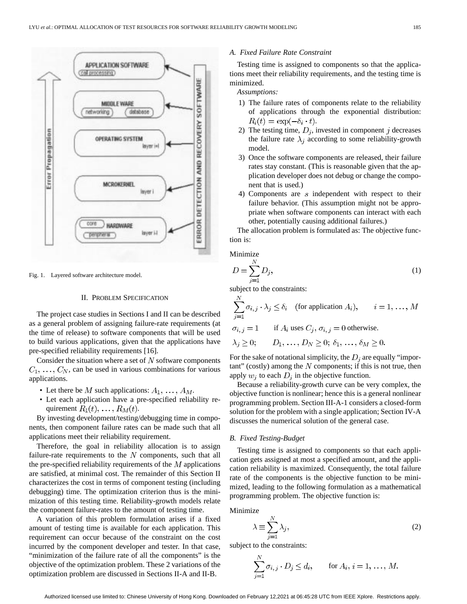

Fig. 1. Layered software architecture model.

# II. PROBLEM SPECIFICATION

The project case studies in Sections I and II can be described as a general problem of assigning failure-rate requirements (at the time of release) to software components that will be used to build various applications, given that the applications have pre-specified reliability requirements [16].

Consider the situation where a set of  $N$  software components  $C_1, \ldots, C_N$ , can be used in various combinations for various applications.

- Let there be M such applications:  $A_1, \ldots, A_M$ .
- Let each application have a pre-specified reliability requirement  $R_1(t), \ldots, R_M(t)$ .

By investing development/testing/debugging time in components, then component failure rates can be made such that all applications meet their reliability requirement.

Therefore, the goal in reliability allocation is to assign failure-rate requirements to the  $N$  components, such that all the pre-specified reliability requirements of the  $M$  applications are satisfied, at minimal cost. The remainder of this Section II characterizes the cost in terms of component testing (including debugging) time. The optimization criterion thus is the minimization of this testing time. Reliability-growth models relate the component failure-rates to the amount of testing time.

A variation of this problem formulation arises if a fixed amount of testing time is available for each application. This requirement can occur because of the constraint on the cost incurred by the component developer and tester. In that case, "minimization of the failure rate of all the components" is the objective of the optimization problem. These 2 variations of the optimization problem are discussed in Sections II-A and II-B.

# *A. Fixed Failure Rate Constraint*

Testing time is assigned to components so that the applications meet their reliability requirements, and the testing time is minimized.

*Assumptions:*

- 1) The failure rates of components relate to the reliability of applications through the exponential distribution:  $R_i(t) = \exp(-\delta_i \cdot t).$
- 2) The testing time,  $D_j$ , invested in component j decreases the failure rate  $\lambda_j$  according to some reliability-growth model.
- 3) Once the software components are released, their failure rates stay constant. (This is reasonable given that the application developer does not debug or change the component that is used.)
- 4) Components are  $s$  independent with respect to their failure behavior. (This assumption might not be appropriate when software components can interact with each other, potentially causing additional failures.)

The allocation problem is formulated as: The objective function is:

Minimize

$$
D = \sum_{j=1}^{N} D_j,\tag{1}
$$

subject to the constraints:

$$
\sum_{j=1}^{N} \sigma_{i,j} \cdot \lambda_j \le \delta_i \quad \text{(for application } A_i), \qquad i = 1, \dots, M
$$

$$
\sigma_{i,j} = 1
$$
 if  $A_i$  uses  $C_j$ ,  $\sigma_{i,j} = 0$  otherwise.

$$
\lambda_j \geq 0;
$$
  $D_1, \ldots, D_N \geq 0; \delta_1, \ldots, \delta_M \geq 0.$ 

For the sake of notational simplicity, the  $D_i$  are equally "impor $tant" (costly) among the N components; if this is not true, then$ apply  $w_i$  to each  $D_i$  in the objective function.

Because a reliability-growth curve can be very complex, the objective function is nonlinear; hence this is a general nonlinear programming problem. Section III-A-1 considers a closed-form solution for the problem with a single application; Section IV-A discusses the numerical solution of the general case.

## *B. Fixed Testing-Budget*

Testing time is assigned to components so that each application gets assigned at most a specified amount, and the application reliability is maximized. Consequently, the total failure rate of the components is the objective function to be minimized, leading to the following formulation as a mathematical programming problem. The objective function is:

Minimize

$$
\lambda \equiv \sum_{j=1}^{N} \lambda_j,
$$
\n(2)

subject to the constraints:

$$
\sum_{j=1}^{N} \sigma_{i,j} \cdot D_j \le d_i, \quad \text{for } A_i, i = 1, ..., M.
$$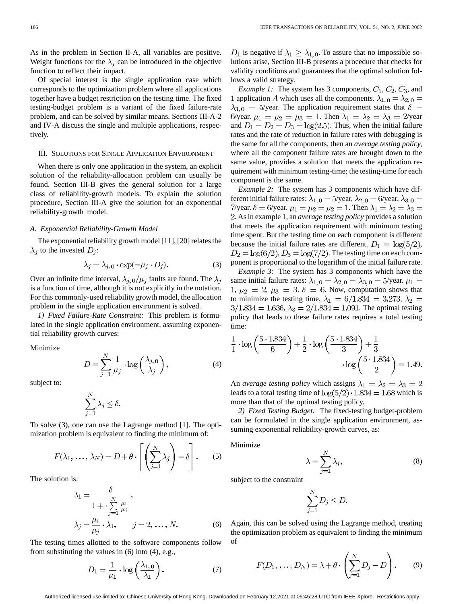As in the problem in Section II-A, all variables are positive. Weight functions for the  $\lambda_j$  can be introduced in the objective function to reflect their impact.

Of special interest is the single application case which corresponds to the optimization problem where all applications together have a budget restriction on the testing time. The fixed testing-budget problem is a variant of the fixed failure-rate problem, and can be solved by similar means. Sections III-A-2 and IV-A discuss the single and multiple applications, respectively.

## III. SOLUTIONS FOR SINGLE APPLICATION ENVIRONMENT

When there is only one application in the system, an explicit solution of the reliability-allocation problem can usually be found. Section III-B gives the general solution for a large class of reliability-growth models. To explain the solution procedure, Section III-A give the solution for an exponential reliability-growth model.

# *A. Exponential Reliability-Growth Model*

The exponential reliability growth model [11], [20] relates the  $\lambda_j$  to the invested  $D_j$ :

$$
\lambda_j = \lambda_{j,0} \cdot \exp(-\mu_j \cdot D_j). \tag{3}
$$

Over an infinite time interval,  $\lambda_{i,0}/\mu_i$  faults are found. The  $\lambda_i$ is a function of time, although it is not explicitly in the notation. For this commonly-used reliability growth model, the allocation problem in the single application environment is solved.

*1) Fixed Failure-Rate Constraint:* This problem is formulated in the single application environment, assuming exponential reliability growth curves:

Minimize

$$
D = \sum_{j=1}^{N} \frac{1}{\mu_j} \cdot \log\left(\frac{\lambda_{j,0}}{\lambda_j}\right),\tag{4}
$$

subject to:

$$
\sum_{j=1}^N \lambda_j \leq \delta.
$$

To solve (3), one can use the Lagrange method [1]. The optimization problem is equivalent to finding the minimum of:

$$
F(\lambda_1, ..., \lambda_N) = D + \theta \cdot \left[ \left( \sum_{j=1}^N \lambda_j \right) - \delta \right].
$$
 (5)

The solution is:

$$
\lambda_1 = \frac{\delta}{1 + \sum_{j=1}^N \frac{\mu_1}{\mu_j}},
$$
  

$$
\lambda_j = \frac{\mu_1}{\mu_j} \cdot \lambda_1, \qquad j = 2, \dots, N.
$$
 (6)

The testing times allotted to the software components follow from substituting the values in (6) into (4), e.g.,

$$
D_1 = \frac{1}{\mu_1} \cdot \log\left(\frac{\lambda_{1,0}}{\lambda_1}\right). \tag{7}
$$

 $D_1$  is negative if  $\lambda_1 \geq \lambda_{1,0}$ . To assure that no impossible solutions arise, Section III-B presents a procedure that checks for validity conditions and guarantees that the optimal solution follows a valid strategy.

*Example 1:* The system has 3 components,  $C_1$ ,  $C_2$ ,  $C_3$ , and 1 application A which uses all the components.  $\lambda_{1,0} = \lambda_{2,0} =$  $\lambda_{3,0} = 5$ /year. The application requirement states that  $\delta =$ 6/year.  $\mu_1 = \mu_2 = \mu_3 = 1$ . Then  $\lambda_1 = \lambda_2 = \lambda_3 = 2$ /year and  $D_1 = D_2 = D_3 = \log(2.5)$ . Thus, when the initial failure rates and the rate of reduction in failure rates with debugging is the same for all the components, then an *average testing policy,* where all the component failure rates are brought down to the same value, provides a solution that meets the application requirement with minimum testing-time; the testing-time for each component is the same.

*Example 2:* The system has 3 components which have different initial failure rates:  $\lambda_{1,0} = 5$ /year,  $\lambda_{2,0} = 6$ /year,  $\lambda_{3,0} =$ 7/year.  $\delta = 6$ /year.  $\mu_1 = \mu_2 = \mu_2 = 1$ . Then  $\lambda_1 = \lambda_2 = \lambda_3 =$ . As in example 1, an *average testing policy* provides a solution that meets the application requirement with minimum testing time spent. But the testing time on each component is different because the initial failure rates are different.  $D_1 = \log(5/2)$ ,  $D_2 = \log(6/2), D_3 = \log(7/2)$ . The testing time on each component is proportional to the logarithm of the initial failure rate.

*Example 3:* The system has 3 components which have the same initial failure rates:  $\lambda_{1,0} = \lambda_{2,0} = \lambda_{3,0} = 5$ /year.  $\mu_1$  = 1,  $\mu_2 = 2$ ,  $\mu_3 = 3$ .  $\delta = 6$ . Now, computation shows that to minimize the testing time,  $\lambda_1 = 6/1.834 = 3.273$ ,  $\lambda_2 =$  $3/1.834 = 1.636$ ,  $\lambda_3 = 2/1.834 = 1.091$ . The optimal testing policy that leads to these failure rates requires a total testing time:

$$
\frac{1}{1} \cdot \log\left(\frac{5 \cdot 1.834}{6}\right) + \frac{1}{2} \cdot \log\left(\frac{5 \cdot 1.834}{3}\right) + \frac{1}{3}
$$

$$
\cdot \log\left(\frac{5 \cdot 1.834}{2}\right) = 1.49.
$$

An *average testing policy* which assigns  $\lambda_1 = \lambda_2 = \lambda_3 = 2$ leads to a total testing time of  $\log(5/2) \cdot 1.834 = 1.68$  which is more than that of the optimal testing policy.

*2) Fixed Testing Budget:* The fixed-testing budget-problem can be formulated in the single application environment, assuming exponential reliability-growth curves, as:

Minimize

$$
\lambda = \sum_{j=1}^{N} \lambda_j,
$$
\n(8)

subject to the constraint

$$
\sum_{j=1}^{N} D_j \leq D.
$$

Again, this can be solved using the Lagrange method, treating the optimization problem as equivalent to finding the minimum of

$$
F(D_1, \ldots, D_N) = \lambda + \theta \cdot \left(\sum_{j=1}^N D_j - D\right). \tag{9}
$$

Authorized licensed use limited to: Chinese University of Hong Kong. Downloaded on February 12,2021 at 06:45:28 UTC from IEEE Xplore. Restrictions apply.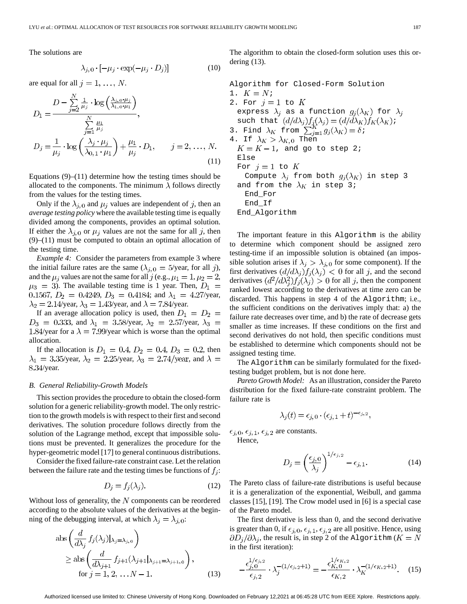The solutions are

$$
\lambda_{j,0} \cdot [-\mu_j \cdot \exp(-\mu_j \cdot D_j)] \tag{10}
$$

are equal for all  $j = 1, ..., N$ .

$$
D_1 = \frac{D - \sum_{j=2}^N \frac{1}{\mu_j} \cdot \log\left(\frac{\lambda_{j,0}, \mu_j}{\lambda_{1,0}, \mu_1}\right)}{\sum_{j=1}^N \frac{\mu_1}{\mu_j}},
$$
  

$$
D_j = \frac{1}{\mu_j} \cdot \log\left(\frac{\lambda_j \cdot \mu_j}{\lambda_{0,1} \cdot \mu_1}\right) + \frac{\mu_1}{\mu_j} \cdot D_1, \qquad j = 2, ..., N.
$$
 (11)

Equations  $(9)$ – $(11)$  determine how the testing times should be allocated to the components. The minimum  $\lambda$  follows directly from the values for the testing times.

Only if the  $\lambda_{j,0}$  and  $\mu_j$  values are independent of j, then an *average testing policy* where the available testing time is equally divided among the components, provides an optimal solution. If either the  $\lambda_{i,0}$  or  $\mu_i$  values are not the same for all j, then (9)–(11) must be computed to obtain an optimal allocation of the testing time.

*Example 4:* Consider the parameters from example 3 where the initial failure rates are the same  $(\lambda_{i,0} = 5$ /year, for all j), and the  $\mu_j$  values are not the same for all j (e.g.,  $\mu_1 = 1, \mu_2 = 2$ ,  $\mu_3 = 3$ ). The available testing time is 1 year. Then,  $D_1 =$ 0.1567,  $D_2 = 0.4249$ ,  $D_3 = 0.4184$ ; and  $\lambda_1 = 4.27$ /year,  $\lambda_2 = 2.14$ /year,  $\lambda_3 = 1.43$ /year, and  $\lambda = 7.84$ /year.

If an average allocation policy is used, then  $D_1 = D_2 =$  $D_3 = 0.333$ , and  $\lambda_1 = 3.58$ /year,  $\lambda_2 = 2.57$ /year,  $\lambda_3 =$ 1.84/year for a  $\lambda = 7.99$ /year which is worse than the optimal allocation.

If the allocation is  $D_1 = 0.4, D_2 = 0.4, D_3 = 0.2$ , then  $\lambda_1 = 3.35$ /year,  $\lambda_2 = 2.25$ /year,  $\lambda_3 = 2.74$ /year, and  $\lambda =$ 8.34/year.

### *B. General Reliability-Growth Models*

This section provides the procedure to obtain the closed-form solution for a generic reliability-growth model. The only restriction to the growth models is with respect to their first and second derivatives. The solution procedure follows directly from the solution of the Lagrange method, except that impossible solutions must be prevented. It generalizes the procedure for the hyper-geometric model [17] to general continuous distributions.

Consider the fixed failure-rate constraint case. Let the relation between the failure rate and the testing times be functions of  $f_j$ :

$$
D_j = f_j(\lambda_j). \tag{12}
$$

Without loss of generality, the  $N$  components can be reordered according to the absolute values of the derivatives at the beginning of the debugging interval, at which  $\lambda_j = \lambda_{j,0}$ :

$$
\begin{aligned}\n\text{abs}\left(\frac{d}{d\lambda_j} f_j(\lambda_j)|_{\lambda_j = \lambda_{j,0}}\right) \\
\geq \text{abs}\left(\frac{d}{d\lambda_{j+1}} f_{j+1}(\lambda_{j+1}|_{\lambda_{j+1} = \lambda_{j+1,0}}\right), \\
\text{for } j = 1, 2, \dots N - 1.\n\end{aligned} \tag{13}
$$

The algorithm to obtain the closed-form solution uses this ordering (13).

Algorithm for Closed-Form Solution 1.  $K = N_i$ 2. For  $j=1$  to  $K$ express  $\lambda_j$  as a function  $g_j(\lambda_K)$  for  $\lambda_j$ such that  $(d/d\lambda_j) f_i(\lambda_j) = (d/d\lambda_K) f_K(\lambda_K) i$ 3. Find  $\lambda_K$  from  $\sum_{i=1}^n g_i(\lambda_K) = \delta i$ 4. If  $\lambda_K > \lambda_{K,\,0}$  Then  $K = K - 1$ , and go to step 2; Else For  $j=1$  to  $K$ Compute  $\lambda_j$  from both  $g_j(\lambda_K)$  in step 3 and from the  $\lambda_K$  in step 3; End\_For End\_If End\_Algorithm

The important feature in this Algorithm is the ability to determine which component should be assigned zero testing-time if an impossible solution is obtained (an impossible solution arises if  $\lambda_j > \lambda_{j,0}$  for some component). If the first derivatives  $(d/d\lambda_j)f_j(\lambda_j) < 0$  for all j, and the second derivatives  $\left(d^2/d\lambda_i^2\right)f_j(\lambda_j) > 0$  for all j, then the component ranked lowest according to the derivatives at time zero can be discarded. This happens in step 4 of the Algorithm; i.e., the sufficient conditions on the derivatives imply that: a) the failure rate decreases over time, and b) the rate of decrease gets smaller as time increases. If these conditions on the first and second derivatives do not hold, then specific conditions must be established to determine which components should not be assigned testing time.

The Algorithm can be similarly formulated for the fixedtesting budget problem, but is not done here.

*Pareto Growth Model:* As an illustration, consider the Pareto distribution for the fixed failure-rate constraint problem. The failure rate is

$$
\lambda_j(t) = \epsilon_{j,0} \cdot (\epsilon_{j,1} + t)^{-\epsilon_{j,2}},
$$

 $\epsilon_{j,0}, \epsilon_{j,1}, \epsilon_{j,2}$  are constants.

Hence,

$$
D_j = \left(\frac{\epsilon_{j,0}}{\lambda_j}\right)^{1/\epsilon_{j,2}} - \epsilon_{j,1}.
$$
 (14)

The Pareto class of failure-rate distributions is useful because it is a generalization of the exponential, Weibull, and gamma classes [15], [19]. The Crow model used in [6] is a special case of the Pareto model.

The first derivative is less than 0, and the second derivative is greater than 0, if  $\epsilon_{j,0}, \epsilon_{j,1}, \epsilon_{j,2}$  are all positive. Hence, using  $\partial D_j/\partial \lambda_j$ , the result is, in step 2 of the Algorithm ( $K = N$ in the first iteration):

$$
-\frac{\epsilon_{j,0}^{1/\epsilon_{j,2}}}{\epsilon_{j,2}} \cdot \lambda_j^{-(1/\epsilon_{j,2}+1)} = -\frac{\epsilon_{K,0}^{1/\epsilon_{K,2}}}{\epsilon_{K,2}} \cdot \lambda_K^{-(1/\epsilon_{K,2}+1)}.
$$
 (15)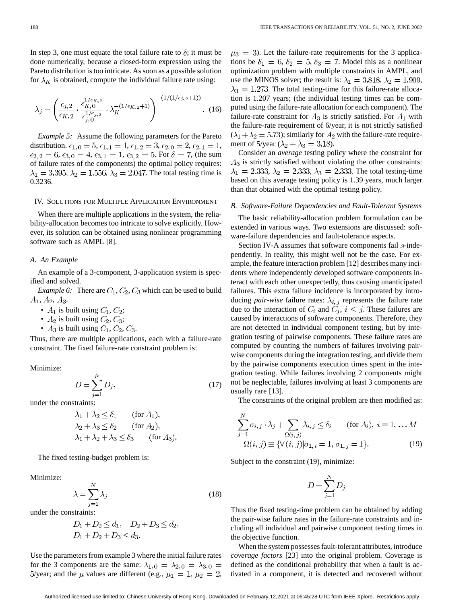In step 3, one must equate the total failure rate to  $\delta$ ; it must be done numerically, because a closed-form expression using the Pareto distribution is too intricate. As soon as a possible solution for  $\lambda_K$  is obtained, compute the individual failure rate using:

$$
\lambda_j = \left(\frac{\epsilon_{j,2}}{\epsilon_{K,2}} \cdot \frac{\epsilon_{K,0}^{1/\epsilon_{K,2}}}{\epsilon_{j,0}^{1/\epsilon_{j,2}}} \cdot \lambda_K^{-(1/\epsilon_{K,2}+1)}\right)^{-(1/(1/\epsilon_{j,2}+1))} .
$$
 (16)

*Example 5:* Assume the following parameters for the Pareto distribution.  $\epsilon_{1,0} = 5, \epsilon_{1,1} = 1, \epsilon_{1,2} = 3, \epsilon_{2,0} = 2, \epsilon_{2,1} = 1,$  $\epsilon_{2,2} = 6, \epsilon_{3,0} = 4, \epsilon_{3,1} = 1, \epsilon_{3,2} = 5$ . For  $\delta = 7$ , (the sum of failure rates of the components) the optimal policy requires:  $\lambda_1 = 3.395, \lambda_2 = 1.556, \lambda_3 = 2.047$ . The total testing time is 0.3236.

# IV. SOLUTIONS FOR MULTIPLE APPLICATION ENVIRONMENT

When there are multiple applications in the system, the reliability-allocation becomes too intricate to solve explicitly. However, its solution can be obtained using nonlinear programming software such as AMPL [8].

## *A. An Example*

An example of a 3-component, 3-application system is specified and solved.

*Example 6:* There are  $C_1$ ,  $C_2$ ,  $C_3$  which can be used to build  $A_1, A_2, A_3.$ 

- $A_1$  is built using  $C_1$ ,  $C_2$ ;
- $A_2$  is built using  $C_2, C_3$ ;
- $A_3$  is built using  $C_1$ ,  $C_2$ ,  $C_3$ .

Thus, there are multiple applications, each with a failure-rate constraint. The fixed failure-rate constraint problem is:

Minimize:

$$
D = \sum_{j=1}^{N} D_j,\tag{17}
$$

under the constraints:

$$
\lambda_1 + \lambda_2 \le \delta_1 \qquad \text{(for } A_1),
$$
  
\n
$$
\lambda_2 + \lambda_3 \le \delta_2 \qquad \text{(for } A_2),
$$
  
\n
$$
\lambda_1 + \lambda_2 + \lambda_3 \le \delta_3 \qquad \text{(for } A_3).
$$

The fixed testing-budget problem is:

Minimize:

$$
\lambda = \sum_{i=1}^{N} \lambda_j \tag{18}
$$

under the constraints:

$$
D_1 + D_2 \le d_1, \quad D_2 + D_3 \le d_2, D_1 + D_2 + D_3 \le d_3.
$$

Use the parameters from example 3 where the initial failure rates for the 3 components are the same:  $\lambda_{1,0} = \lambda_{2,0} = \lambda_{3,0} =$ 5/year; and the  $\mu$  values are different (e.g.,  $\mu_1 = 1, \mu_2 = 2$ ,  $\mu_3 = 3$ ). Let the failure-rate requirements for the 3 applications be  $\delta_1 = 6$ ,  $\delta_2 = 5$ ,  $\delta_3 = 7$ . Model this as a nonlinear optimization problem with multiple constraints in AMPL, and use the MINOS solver; the result is:  $\lambda_1 = 3.818, \lambda_2 = 1.909$ ,  $\lambda_3 = 1.273$ . The total testing-time for this failure-rate allocation is 1.207 years; (the individual testing times can be computed using the failure-rate allocation for each component). The failure-rate constraint for  $A_3$  is strictly satisfied. For  $A_1$  with the failure-rate requirement of 6/year, it is not strictly satisfied  $(\lambda_1 + \lambda_2 = 5.73)$ ; similarly for  $A_2$  with the failure-rate requirement of 5/year  $(\lambda_2 + \lambda_3 = 3.18)$ .

Consider an *average* testing policy where the constraint for  $A_3$  is strictly satisfied without violating the other constraints:  $\lambda_1 = 2.333, \lambda_2 = 2.333, \lambda_3 = 2.333$ . The total testing-time based on this average testing policy is 1.39 years, much larger than that obtained with the optimal testing policy.

# *B. Software-Failure Dependencies and Fault-Tolerant Systems*

The basic reliability-allocation problem formulation can be extended in various ways. Two extensions are discussed: software-failure dependencies and fault-tolerance aspects.

Section IV-A assumes that software components fail s-independently. In reality, this might well not be the case. For example, the feature interaction problem [12] describes many incidents where independently developed software components interact with each other unexpectedly, thus causing unanticipated failures. This extra failure incidence is incorporated by introducing *pair-wise* failure rates:  $\lambda_{i,j}$  represents the failure rate due to the interaction of  $C_i$  and  $C_j$ ,  $i \leq j$ . These failures are caused by interactions of software components. Therefore, they are not detected in individual component testing, but by integration testing of pairwise components. These failure rates are computed by counting the numbers of failures involving pairwise components during the integration testing, and divide them by the pairwise components execution times spent in the integration testing. While failures involving 2 components might not be neglectable, failures involving at least 3 components are usually rare [13].

The constraints of the original problem are then modified as:

$$
\sum_{j=1}^{N} \sigma_{i,j} \cdot \lambda_j + \sum_{\Omega(i,j)} \lambda_{i,j} \le \delta_i \quad (\text{for } A_i), i = 1, \dots M
$$
  

$$
\Omega(i,j) \equiv \{ \forall (i,j) | \sigma_{1,i} = 1, \sigma_{1,j} = 1 \}. \quad (19)
$$

Subject to the constraint (19), minimize:

$$
D=\sum_{j=1}^N D_j
$$

Thus the fixed testing-time problem can be obtained by adding the pair-wise failure rates in the failure-rate constraints and including all individual and pairwise component testing times in the objective function.

When the system possesses fault-tolerant attributes, introduce *coverage factors* [23] into the original problem. Coverage is defined as the conditional probability that when a fault is activated in a component, it is detected and recovered without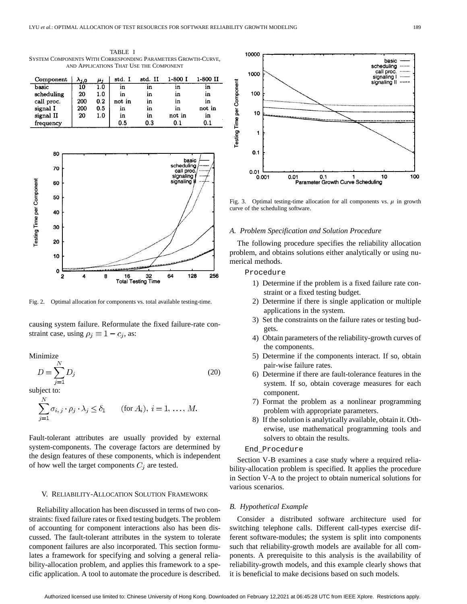TABLE I SYSTEM COMPONENTS WITH CORRESPONDING PARAMETERS GROWTH-CURVE, AND APPLICATIONS THAT USE THE COMPONENT

| Component  | $\Delta j, 0$ | μi  | std. I | std. II | 1-800 I | 1-800 II |
|------------|---------------|-----|--------|---------|---------|----------|
| basic      | 10            | 1.0 | ın     | ın      | ın      | ın       |
| scheduling | 20            | 1.0 | ın     | ın      | ın      | ın       |
| call proc. | 200           | 0.2 | not in | ın      | m       | ın       |
| signal I   | 200           | 0.5 | ın     | ın      | in      | not in   |
| signal II  | 20            | 1.0 | ın     | ın      | not in  | ın       |
| frequency  |               |     | 0.5    | $0.3\,$ | 0.1     | 0.1      |



Fig. 2. Optimal allocation for components vs. total available testing-time.

causing system failure. Reformulate the fixed failure-rate constraint case, using  $\rho_j \equiv 1 - c_j$ , as:

Minimize

$$
D = \sum_{j=1}^{N} D_j \tag{20}
$$

subject to:

$$
\sum_{j=1}^{N} \sigma_{i,j} \cdot \rho_j \cdot \lambda_j \le \delta_1 \quad (\text{for } A_i), i = 1, \dots, M.
$$

Fault-tolerant attributes are usually provided by external system-components. The coverage factors are determined by the design features of these components, which is independent of how well the target components  $C_j$  are tested.

## V. RELIABILITY-ALLOCATION SOLUTION FRAMEWORK

Reliability allocation has been discussed in terms of two constraints: fixed failure rates or fixed testing budgets. The problem of accounting for component interactions also has been discussed. The fault-tolerant attributes in the system to tolerate component failures are also incorporated. This section formulates a framework for specifying and solving a general reliability-allocation problem, and applies this framework to a specific application. A tool to automate the procedure is described.



Fig. 3. Optimal testing-time allocation for all components vs.  $\mu$  in growth curve of the scheduling software.

### *A. Problem Specification and Solution Procedure*

The following procedure specifies the reliability allocation problem, and obtains solutions either analytically or using numerical methods.

# Procedure

- 1) Determine if the problem is a fixed failure rate constraint or a fixed testing budget.
- 2) Determine if there is single application or multiple applications in the system.
- 3) Set the constraints on the failure rates or testing budgets.
- 4) Obtain parameters of the reliability-growth curves of the components.
- 5) Determine if the components interact. If so, obtain pair-wise failure rates.
- 6) Determine if there are fault-tolerance features in the system. If so, obtain coverage measures for each component.
- 7) Format the problem as a nonlinear programming problem with appropriate parameters.
- 8) If the solution is analytically available, obtain it. Otherwise, use mathematical programming tools and solvers to obtain the results.

# End\_Procedure

Section V-B examines a case study where a required reliability-allocation problem is specified. It applies the procedure in Section V-A to the project to obtain numerical solutions for various scenarios.

#### *B. Hypothetical Example*

Consider a distributed software architecture used for switching telephone calls. Different call-types exercise different software-modules; the system is split into components such that reliability-growth models are available for all components. A prerequisite to this analysis is the availability of reliability-growth models, and this example clearly shows that it is beneficial to make decisions based on such models.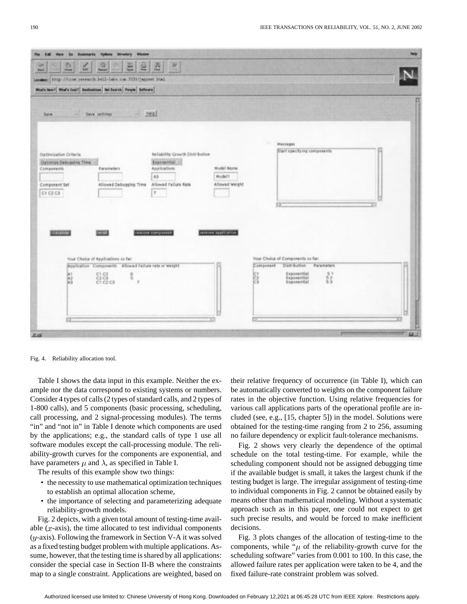

Fig. 4. Reliability allocation tool.

Table I shows the data input in this example. Neither the example nor the data correspond to existing systems or numbers. Consider 4 types of calls (2 types of standard calls, and 2 types of 1-800 calls), and 5 components (basic processing, scheduling, call processing, and 2 signal-processing modules). The terms "in" and "not in" in Table I denote which components are used by the applications; e.g., the standard calls of type 1 use all software modules except the call-processing module. The reliability-growth curves for the components are exponential, and have parameters  $\mu$  and  $\lambda$ , as specified in Table I.

The results of this example show two things:

- the necessity to use mathematical optimization techniques to establish an optimal allocation scheme,
- the importance of selecting and parameterizing adequate reliability-growth models.

Fig. 2 depicts, with a given total amount of testing-time available  $(x$ -axis), the time allocated to test individual components  $(y$ -axis). Following the framework in Section V-A it was solved as a fixed testing budget problem with multiple applications. Assume, however, that the testing time is shared by all applications: consider the special case in Section II-B where the constraints map to a single constraint. Applications are weighted, based on their relative frequency of occurrence (in Table I), which can be automatically converted to weights on the component failure rates in the objective function. Using relative frequencies for various call applications parts of the operational profile are included (see, e.g., [15, chapter 5]) in the model. Solutions were obtained for the testing-time ranging from 2 to 256, assuming no failure dependency or explicit fault-tolerance mechanisms.

Fig. 2 shows very clearly the dependence of the optimal schedule on the total testing-time. For example, while the scheduling component should not be assigned debugging time if the available budget is small, it takes the largest chunk if the testing budget is large. The irregular assignment of testing-time to individual components in Fig. 2 cannot be obtained easily by means other than mathematical modeling. Without a systematic approach such as in this paper, one could not expect to get such precise results, and would be forced to make inefficient decisions.

Fig. 3 plots changes of the allocation of testing-time to the components, while " $\mu$  of the reliability-growth curve for the scheduling software" varies from 0.001 to 100. In this case, the allowed failure rates per application were taken to be 4, and the fixed failure-rate constraint problem was solved.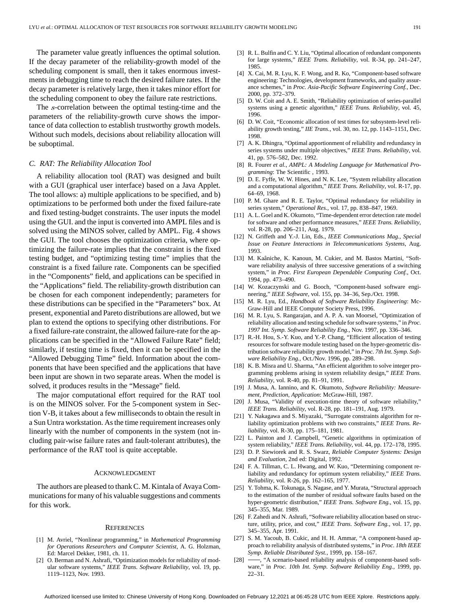The parameter value greatly influences the optimal solution. If the decay parameter of the reliability-growth model of the scheduling component is small, then it takes enormous investments in debugging time to reach the desired failure rates. If the decay parameter is relatively large, then it takes minor effort for the scheduling component to obey the failure rate restrictions.

The *s*-correlation between the optimal testing-time and the parameters of the reliability-growth curve shows the importance of data collection to establish trustworthy growth models. Without such models, decisions about reliability allocation will be suboptimal.

# *C. RAT: The Reliability Allocation Tool*

A reliability allocation tool (RAT) was designed and built with a GUI (graphical user interface) based on a Java Applet. The tool allows: a) multiple applications to be specified, and b) optimizations to be performed both under the fixed failure-rate and fixed testing-budget constraints. The user inputs the model using the GUI. and the input is converted into AMPL files and is solved using the MINOS solver, called by AMPL. Fig. 4 shows the GUI. The tool chooses the optimization criteria, where optimizing the failure-rate implies that the constraint is the fixed testing budget, and "optimizing testing time" implies that the constraint is a fixed failure rate. Components can be specified in the "Components" field, and applications can be specified in the "Applications" field. The reliability-growth distribution can be chosen for each component independently; parameters for these distributions can be specified in the "Parameters" box. At present, exponential and Pareto distributions are allowed, but we plan to extend the options to specifying other distributions. For a fixed failure-rate constraint, the allowed failure-rate for the applications can be specified in the "Allowed Failure Rate" field; similarly, if testing time is fixed, then it can be specified in the "Allowed Debugging Time" field. Information about the components that have been specified and the applications that have been input are shown in two separate areas. When the model is solved, it produces results in the "Message" field.

The major computational effort required for the RAT tool is on the MINOS solver. For the 5-component system in Section V-B, it takes about a few milliseconds to obtain the result in a Sun Untra workstation. As the time requirement increases only linearly with the number of components in the system (not including pair-wise failure rates and fault-tolerant attributes), the performance of the RAT tool is quite acceptable.

#### ACKNOWLEDGMENT

The authors are pleased to thank C. M. Kintala of Avaya Communications for many of his valuable suggestions and comments for this work.

## **REFERENCES**

- [1] M. Avriel, "Nonlinear programming," in *Mathematical Programming for Operations Researchers and Computer Scientist*, A. G. Holzman, Ed: Marcel Dekker, 1981, ch. 11.
- [2] O. Berman and N. Ashrafi, "Optimization models for reliability of modular software systems," *IEEE Trans. Software Reliability*, vol. 19, pp. 1119–1123, Nov. 1993.
- [3] R. L. Bulfin and C. Y. Liu, "Optimal allocation of redundant components for large systems," *IEEE Trans. Reliability*, vol. R-34, pp. 241–247, 1985.
- [4] X. Cai, M. R. Lyu, K. F. Wong, and R. Ko, "Component-based software engineering: Technologies, development frameworks, and quality assurance schemes," in *Proc. Asia-Pacific Software Engineering Conf.*, Dec. 2000, pp. 372–379.
- [5] D. W. Coit and A. E. Smith, "Reliability optimization of series-parallel systems using a genetic algorithm," *IEEE Trans. Reliability*, vol. 45, 1996.
- [6] D. W. Coit, "Economic allocation of test times for subsystem-level reliability growth testing," *IIE Trans.*, vol. 30, no. 12, pp. 1143–1151, Dec. 1998.
- [7] A. K. Dhingra, "Optimal apportionment of reliability and redundancy in series systems under multiple objectives," *IEEE Trans. Reliability*, vol. 41, pp. 576–582, Dec. 1992.
- [8] R. Fourer *et al.*, *AMPL: A Modeling Language for Mathematical Programming*: The Scientific , 1993.
- [9] D. E. Fyffe, W. W. Hines, and N. K. Lee, "System reliability allocation and a computational algorithm," *IEEE Trans. Reliability*, vol. R-17, pp. 64–69, 1968.
- [10] P. M. Ghare and R. E. Taylor, "Optimal redundancy for reliability in series system," *Operational Res.*, vol. 17, pp. 838–847, 1969.
- [11] A. L. Goel and K. Okumoto, "Time-dependent error detection rate model for software and other performance measures," *IEEE Trans. Reliability*, vol. R-28, pp. 206–211, Aug. 1979.
- [12] N. Griffeth and Y.-J. Lin, Eds., *IEEE Communications Mag., Special Issue on Feature Interactions in Telecommunications Systems*, Aug. 1993.
- [13] M. Kaâniche, K. Kanoun, M. Cukier, and M. Bastos Martini, "Software reliability analysis of three successive generations of a switching system," in *Proc. First European Dependable Computing Conf.*, Oct. 1994, pp. 473–490.
- [14] W. Kozaczynski and G. Booch, "Component-based software engineering," *IEEE Software*, vol. 155, pp. 34–36, Sep./Oct. 1998.
- [15] M. R. Lyu, Ed., *Handbook of Software Reliability Engineering*: Mc-Graw-Hill and IEEE Computer Society Press, 1996.
- [16] M. R. Lyu, S. Rangarajan, and A. P. A. van Moorsel, "Optimization of reliability allocation and testing schedule for software systems," in *Proc. 1997 Int. Symp. Software Reliability Eng.*, Nov. 1997, pp. 336–346.
- [17] R.-H. Hou, S.-Y. Kuo, and Y.-P. Chang, "Efficient allocation of testing resources for software module testing based on the hyper-geometric distribution software reliability growth model," in *Proc. 7th Int. Symp. Software Reliability Eng.*, Oct./Nov. 1996, pp. 289–298.
- [18] K. B. Misra and U. Sharma, "An efficient algorithm to solve integer programming problems arising in system reliability design," *IEEE Trans. Reliability*, vol. R-40, pp. 81–91, 1991.
- [19] J. Musa, A. Iannino, and K. Okumoto, *Software Reliability: Measurement, Prediction, Application*: McGraw-Hill, 1987.
- [20] J. Musa, "Validity of execution-time theory of software reliability," *IEEE Trans. Reliability*, vol. R-28, pp. 181–191, Aug. 1979.
- [21] Y. Nakagawa and S. Miyazaki, "Surrogate constraints algorithm for reliability optimization problems with two constraints," *IEEE Trans. Reliability*, vol. R-30, pp. 175–181, 1981.
- [22] L. Painton and J. Campbell, "Genetic algorithms in optimization of system reliability," *IEEE Trans. Reliability*, vol. 44, pp. 172–178, 1995.
- [23] D. P. Siewiorek and R. S. Swarz, *Reliable Computer Systems: Design and Evaluation*, 2nd ed: Digital, 1992.
- [24] F. A. Tillman, C. L. Hwang, and W. Kuo, "Determining component reliability and redundancy for optimum system reliability," *IEEE Trans. Reliability*, vol. R-26, pp. 162–165, 1977.
- [25] Y. Tohma, K. Tokunaga, S. Nagase, and Y. Murata, "Structural approach to the estimation of the number of residual software faults based on the hyper-geometric distribution," *IEEE Trans. Software Eng.*, vol. 15, pp. 345–355, Mar. 1989.
- [26] F. Zahedi and N. Ashrafi, "Software reliability allocation based on structure, utility, price, and cost," *IEEE Trans. Software Eng.*, vol. 17, pp. 345–355, Apr. 1991.
- [27] S. M. Yacoub, B. Cukic, and H. H. Ammar, "A component-based approach to reliability analysis of distributed systems," in *Proc. 18th IEEE Symp. Reliable Distributed Syst.*, 1999, pp. 158–167.
- [28]  $\rightarrow$  "A scenario-based reliability analysis of component-based software," in *Proc. 10th Int. Symp. Software Reliability Eng.*, 1999, pp. 22–31.